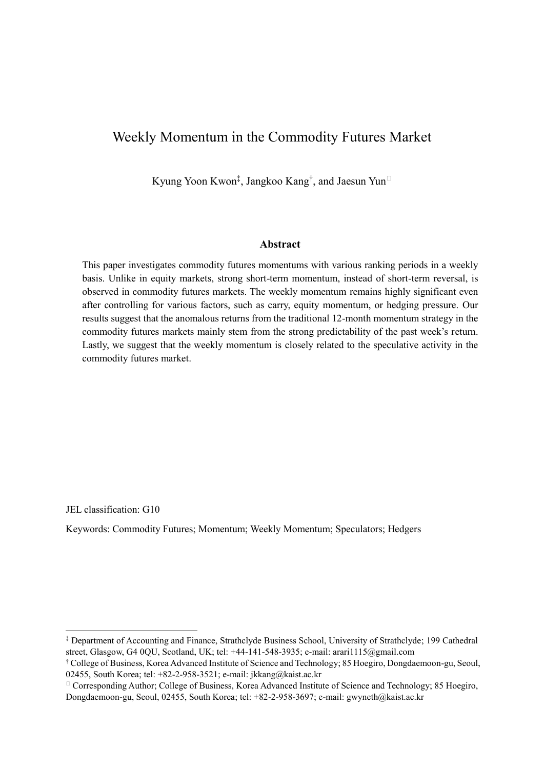# Weekly Momentum in the Commodity Futures Market

Kyung Yoon Kwon<sup>‡</sup>, Jangkoo Kang<sup>†</sup>, and Jaesun Yun<sup>□</sup>

### **Abstract**

This paper investigates commodity futures momentums with various ranking periods in a weekly basis. Unlike in equity markets, strong short-term momentum, instead of short-term reversal, is observed in commodity futures markets. The weekly momentum remains highly significant even after controlling for various factors, such as carry, equity momentum, or hedging pressure. Our results suggest that the anomalous returns from the traditional 12-month momentum strategy in the commodity futures markets mainly stem from the strong predictability of the past week's return. Lastly, we suggest that the weekly momentum is closely related to the speculative activity in the commodity futures market.

JEL classification: G10

<u>.</u>

Keywords: Commodity Futures; Momentum; Weekly Momentum; Speculators; Hedgers

<sup>‡</sup> Department of Accounting and Finance, Strathclyde Business School, University of Strathclyde; 199 Cathedral street, Glasgow, G4 0QU, Scotland, UK; tel: +44-141-548-3935; e-mail: arari1115@gmail.com

<sup>†</sup> College of Business, Korea Advanced Institute of Science and Technology; 85 Hoegiro, Dongdaemoon-gu, Seoul, 02455, South Korea; tel: +82-2-958-3521; e-mail: jkkang@kaist.ac.kr

<sup>⁎</sup> Corresponding Author; College of Business, Korea Advanced Institute of Science and Technology; 85 Hoegiro, Dongdaemoon-gu, Seoul, 02455, South Korea; tel: +82-2-958-3697; e-mail: gwyneth@kaist.ac.kr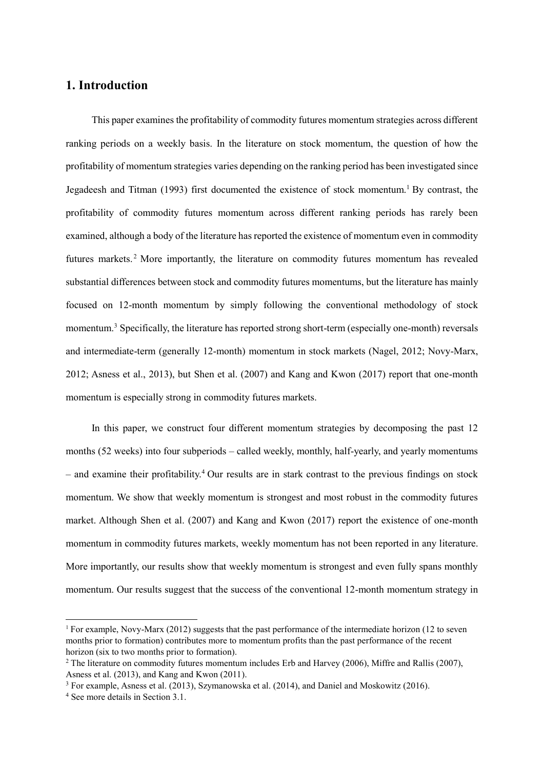## **1. Introduction**

This paper examines the profitability of commodity futures momentum strategies across different ranking periods on a weekly basis. In the literature on stock momentum, the question of how the profitability of momentum strategies varies depending on the ranking period has been investigated since Jegadeesh and Titman (1993) first documented the existence of stock momentum.<sup>1</sup> By contrast, the profitability of commodity futures momentum across different ranking periods has rarely been examined, although a body of the literature has reported the existence of momentum even in commodity futures markets.<sup>2</sup> More importantly, the literature on commodity futures momentum has revealed substantial differences between stock and commodity futures momentums, but the literature has mainly focused on 12-month momentum by simply following the conventional methodology of stock momentum.<sup>3</sup> Specifically, the literature has reported strong short-term (especially one-month) reversals and intermediate-term (generally 12-month) momentum in stock markets (Nagel, 2012; Novy-Marx, 2012; Asness et al., 2013), but Shen et al. (2007) and Kang and Kwon (2017) report that one-month momentum is especially strong in commodity futures markets.

In this paper, we construct four different momentum strategies by decomposing the past 12 months (52 weeks) into four subperiods – called weekly, monthly, half-yearly, and yearly momentums  $-$  and examine their profitability.<sup>4</sup> Our results are in stark contrast to the previous findings on stock momentum. We show that weekly momentum is strongest and most robust in the commodity futures market. Although Shen et al. (2007) and Kang and Kwon (2017) report the existence of one-month momentum in commodity futures markets, weekly momentum has not been reported in any literature. More importantly, our results show that weekly momentum is strongest and even fully spans monthly momentum. Our results suggest that the success of the conventional 12-month momentum strategy in

1

<sup>1</sup> For example, Novy-Marx (2012) suggests that the past performance of the intermediate horizon (12 to seven months prior to formation) contributes more to momentum profits than the past performance of the recent horizon (six to two months prior to formation).

<sup>&</sup>lt;sup>2</sup> The literature on commodity futures momentum includes Erb and Harvey (2006), Miffre and Rallis (2007), Asness et al. (2013), and Kang and Kwon (2011).

<sup>3</sup> For example, Asness et al. (2013), Szymanowska et al. (2014), and Daniel and Moskowitz (2016).

<sup>4</sup> See more details in Section 3.1.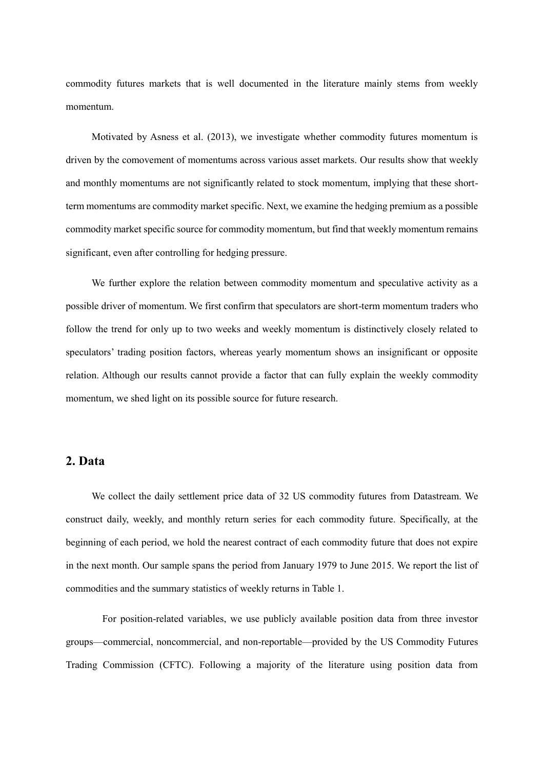commodity futures markets that is well documented in the literature mainly stems from weekly momentum.

Motivated by Asness et al. (2013), we investigate whether commodity futures momentum is driven by the comovement of momentums across various asset markets. Our results show that weekly and monthly momentums are not significantly related to stock momentum, implying that these shortterm momentums are commodity market specific. Next, we examine the hedging premium as a possible commodity market specific source for commodity momentum, but find that weekly momentum remains significant, even after controlling for hedging pressure.

We further explore the relation between commodity momentum and speculative activity as a possible driver of momentum. We first confirm that speculators are short-term momentum traders who follow the trend for only up to two weeks and weekly momentum is distinctively closely related to speculators' trading position factors, whereas yearly momentum shows an insignificant or opposite relation. Although our results cannot provide a factor that can fully explain the weekly commodity momentum, we shed light on its possible source for future research.

### **2. Data**

We collect the daily settlement price data of 32 US commodity futures from Datastream. We construct daily, weekly, and monthly return series for each commodity future. Specifically, at the beginning of each period, we hold the nearest contract of each commodity future that does not expire in the next month. Our sample spans the period from January 1979 to June 2015. We report the list of commodities and the summary statistics of weekly returns in Table 1.

For position-related variables, we use publicly available position data from three investor groups—commercial, noncommercial, and non-reportable—provided by the US Commodity Futures Trading Commission (CFTC). Following a majority of the literature using position data from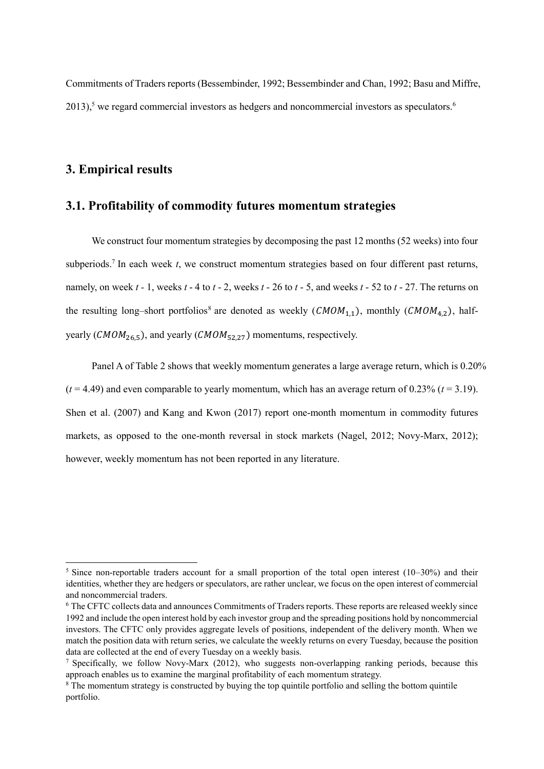Commitments of Traders reports (Bessembinder, 1992; Bessembinder and Chan, 1992; Basu and Miffre,  $2013$ ,<sup>5</sup> we regard commercial investors as hedgers and noncommercial investors as speculators.<sup>6</sup>

### **3. Empirical results**

**.** 

### **3.1. Profitability of commodity futures momentum strategies**

We construct four momentum strategies by decomposing the past 12 months (52 weeks) into four subperiods.<sup>7</sup> In each week *t*, we construct momentum strategies based on four different past returns, namely, on week *t -* 1, weeks *t* - 4 to *t* - 2, weeks *t* - 26 to *t* - 5, and weeks *t* - 52 to *t* - 27. The returns on the resulting long–short portfolios<sup>8</sup> are denoted as weekly ( $\text{CMOM}_{1,1}$ ), monthly ( $\text{CMOM}_{4,2}$ ), halfyearly ( $CMOM<sub>26.5</sub>$ ), and yearly ( $CMOM<sub>52.27</sub>$ ) momentums, respectively.

Panel A of Table 2 shows that weekly momentum generates a large average return, which is 0.20%  $(t = 4.49)$  and even comparable to yearly momentum, which has an average return of 0.23% ( $t = 3.19$ ). Shen et al. (2007) and Kang and Kwon (2017) report one-month momentum in commodity futures markets, as opposed to the one-month reversal in stock markets (Nagel, 2012; Novy-Marx, 2012); however, weekly momentum has not been reported in any literature.

<sup>&</sup>lt;sup>5</sup> Since non-reportable traders account for a small proportion of the total open interest (10–30%) and their identities, whether they are hedgers or speculators, are rather unclear, we focus on the open interest of commercial and noncommercial traders.

<sup>6</sup> The CFTC collects data and announces Commitments of Traders reports. These reports are released weekly since 1992 and include the open interest hold by each investor group and the spreading positions hold by noncommercial investors. The CFTC only provides aggregate levels of positions, independent of the delivery month. When we match the position data with return series, we calculate the weekly returns on every Tuesday, because the position data are collected at the end of every Tuesday on a weekly basis.

<sup>&</sup>lt;sup>7</sup> Specifically, we follow Novy-Marx (2012), who suggests non-overlapping ranking periods, because this approach enables us to examine the marginal profitability of each momentum strategy.

<sup>&</sup>lt;sup>8</sup> The momentum strategy is constructed by buying the top quintile portfolio and selling the bottom quintile portfolio.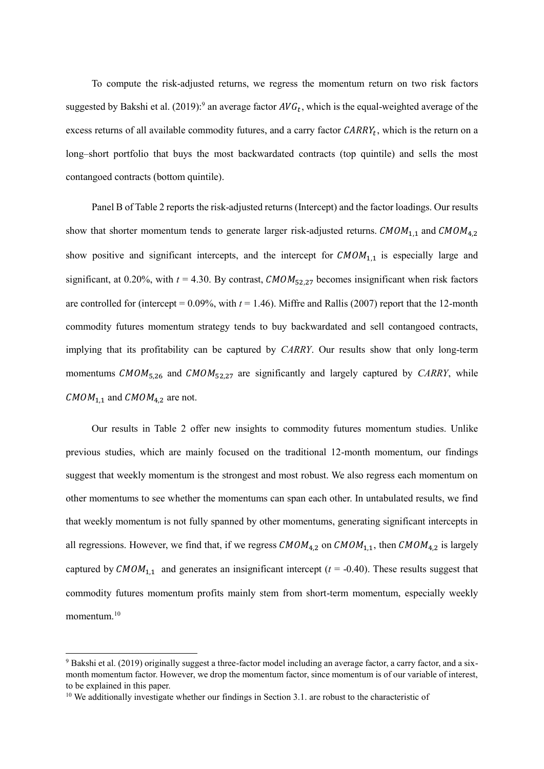To compute the risk-adjusted returns, we regress the momentum return on two risk factors suggested by Bakshi et al. (2019):<sup>9</sup> an average factor  $AVG_t$ , which is the equal-weighted average of the excess returns of all available commodity futures, and a carry factor  $CARRY_t$ , which is the return on a long–short portfolio that buys the most backwardated contracts (top quintile) and sells the most contangoed contracts (bottom quintile).

Panel B of Table 2 reports the risk-adjusted returns (Intercept) and the factor loadings. Our results show that shorter momentum tends to generate larger risk-adjusted returns.  $\textit{CMOM}_{1,1}$  and  $\textit{CMOM}_{4,2}$ show positive and significant intercepts, and the intercept for  $\text{CMOM}_{1,1}$  is especially large and significant, at 0.20%, with  $t = 4.30$ . By contrast,  $CMOM_{52,27}$  becomes insignificant when risk factors are controlled for (intercept =  $0.09\%$ , with  $t = 1.46$ ). Miffre and Rallis (2007) report that the 12-month commodity futures momentum strategy tends to buy backwardated and sell contangoed contracts, implying that its profitability can be captured by *CARRY*. Our results show that only long-term momentums  $CMOM_{5,26}$  and  $CMOM_{52,27}$  are significantly and largely captured by *CARRY*, while  $CMOM_{1,1}$  and  $CMOM_{4,2}$  are not.

Our results in Table 2 offer new insights to commodity futures momentum studies. Unlike previous studies, which are mainly focused on the traditional 12-month momentum, our findings suggest that weekly momentum is the strongest and most robust. We also regress each momentum on other momentums to see whether the momentums can span each other. In untabulated results, we find that weekly momentum is not fully spanned by other momentums, generating significant intercepts in all regressions. However, we find that, if we regress  $\mathcal{CMOM}_{4,2}$  on  $\mathcal{CMOM}_{1,1}$ , then  $\mathcal{CMOM}_{4,2}$  is largely captured by  $CMOM_{1,1}$  and generates an insignificant intercept ( $t = -0.40$ ). These results suggest that commodity futures momentum profits mainly stem from short-term momentum, especially weekly momentum $10$ 

1

<sup>9</sup> Bakshi et al. (2019) originally suggest a three-factor model including an average factor, a carry factor, and a sixmonth momentum factor. However, we drop the momentum factor, since momentum is of our variable of interest, to be explained in this paper.

<sup>&</sup>lt;sup>10</sup> We additionally investigate whether our findings in Section 3.1, are robust to the characteristic of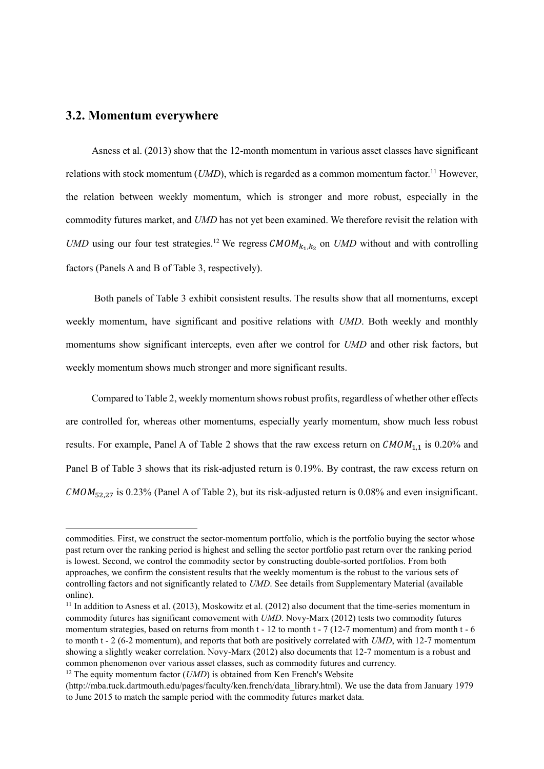## **3.2. Momentum everywhere**

1

Asness et al. (2013) show that the 12-month momentum in various asset classes have significant relations with stock momentum (*UMD*), which is regarded as a common momentum factor.<sup>11</sup> However, the relation between weekly momentum, which is stronger and more robust, especially in the commodity futures market, and *UMD* has not yet been examined. We therefore revisit the relation with *UMD* using our four test strategies.<sup>12</sup> We regress  $CMOM_{k_1,k_2}$  on *UMD* without and with controlling factors (Panels A and B of Table 3, respectively).

Both panels of Table 3 exhibit consistent results. The results show that all momentums, except weekly momentum, have significant and positive relations with *UMD*. Both weekly and monthly momentums show significant intercepts, even after we control for *UMD* and other risk factors, but weekly momentum shows much stronger and more significant results.

Compared to Table 2, weekly momentum shows robust profits, regardless of whether other effects are controlled for, whereas other momentums, especially yearly momentum, show much less robust results. For example, Panel A of Table 2 shows that the raw excess return on  $\text{CMOM}_{1,1}$  is 0.20% and Panel B of Table 3 shows that its risk-adjusted return is 0.19%. By contrast, the raw excess return on  $CMOM_{52,27}$  is 0.23% (Panel A of Table 2), but its risk-adjusted return is 0.08% and even insignificant.

commodities. First, we construct the sector-momentum portfolio, which is the portfolio buying the sector whose past return over the ranking period is highest and selling the sector portfolio past return over the ranking period is lowest. Second, we control the commodity sector by constructing double-sorted portfolios. From both approaches, we confirm the consistent results that the weekly momentum is the robust to the various sets of controlling factors and not significantly related to *UMD*. See details from Supplementary Material (available online).

<sup>&</sup>lt;sup>11</sup> In addition to Asness et al. (2013), Moskowitz et al. (2012) also document that the time-series momentum in commodity futures has significant comovement with *UMD*. Novy-Marx (2012) tests two commodity futures momentum strategies, based on returns from month t - 12 to month t - 7 (12-7 momentum) and from month t - 6 to month t - 2 (6-2 momentum), and reports that both are positively correlated with *UMD*, with 12-7 momentum showing a slightly weaker correlation. Novy-Marx (2012) also documents that 12-7 momentum is a robust and common phenomenon over various asset classes, such as commodity futures and currency.

<sup>&</sup>lt;sup>12</sup> The equity momentum factor (*UMD*) is obtained from Ken French's Website

<sup>(</sup>http://mba.tuck.dartmouth.edu/pages/faculty/ken.french/data\_library.html). We use the data from January 1979 to June 2015 to match the sample period with the commodity futures market data.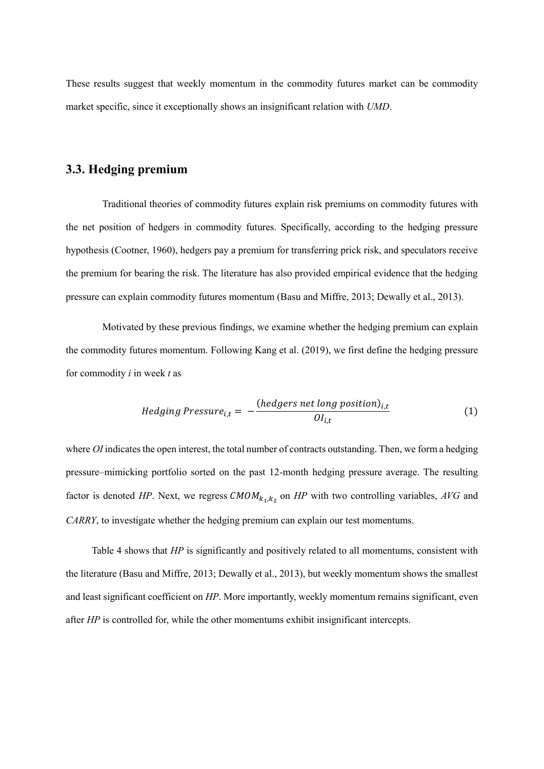These results suggest that weekly momentum in the commodity futures market can be commodity market specific, since it exceptionally shows an insignificant relation with *UMD*.

## **3.3. Hedging premium**

Traditional theories of commodity futures explain risk premiums on commodity futures with the net position of hedgers in commodity futures. Specifically, according to the hedging pressure hypothesis (Cootner, 1960), hedgers pay a premium for transferring prick risk, and speculators receive the premium for bearing the risk. The literature has also provided empirical evidence that the hedging pressure can explain commodity futures momentum (Basu and Miffre, 2013; Dewally et al., 2013).

Motivated by these previous findings, we examine whether the hedging premium can explain the commodity futures momentum. Following Kang et al. (2019), we first define the hedging pressure for commodity *i* in week *t* as

Hedging Pressure<sub>i,t</sub> = 
$$
-\frac{(hedges\ net\ long\ position)_{i,t}}{Ol_{i,t}}
$$
(1)

where *OI* indicates the open interest, the total number of contracts outstanding. Then, we form a hedging pressure–mimicking portfolio sorted on the past 12-month hedging pressure average. The resulting factor is denoted *HP*. Next, we regress  $\text{CMOM}_{k_1,k_2}$  on *HP* with two controlling variables, *AVG* and *CARRY*, to investigate whether the hedging premium can explain our test momentums.

Table 4 shows that *HP* is significantly and positively related to all momentums, consistent with the literature (Basu and Miffre, 2013; Dewally et al., 2013), but weekly momentum shows the smallest and least significant coefficient on *HP*. More importantly, weekly momentum remains significant, even after *HP* is controlled for, while the other momentums exhibit insignificant intercepts.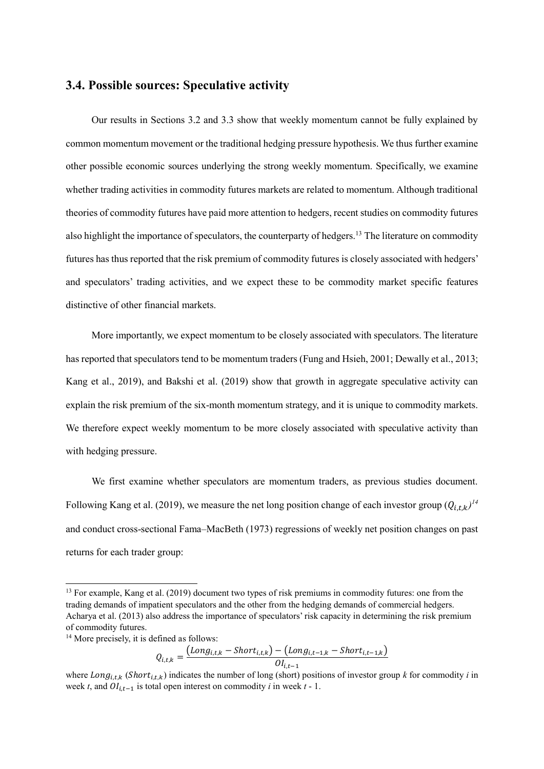### **3.4. Possible sources: Speculative activity**

Our results in Sections 3.2 and 3.3 show that weekly momentum cannot be fully explained by common momentum movement or the traditional hedging pressure hypothesis. We thus further examine other possible economic sources underlying the strong weekly momentum. Specifically, we examine whether trading activities in commodity futures markets are related to momentum. Although traditional theories of commodity futures have paid more attention to hedgers, recent studies on commodity futures also highlight the importance of speculators, the counterparty of hedgers.<sup>13</sup> The literature on commodity futures has thus reported that the risk premium of commodity futures is closely associated with hedgers' and speculators' trading activities, and we expect these to be commodity market specific features distinctive of other financial markets.

More importantly, we expect momentum to be closely associated with speculators. The literature has reported that speculators tend to be momentum traders (Fung and Hsieh, 2001; Dewally et al., 2013; Kang et al., 2019), and Bakshi et al. (2019) show that growth in aggregate speculative activity can explain the risk premium of the six-month momentum strategy, and it is unique to commodity markets. We therefore expect weekly momentum to be more closely associated with speculative activity than with hedging pressure.

We first examine whether speculators are momentum traders, as previous studies document. Following Kang et al. (2019), we measure the net long position change of each investor group  $(Q_{i,t,k})$ <sup>14</sup> and conduct cross-sectional Fama–MacBeth (1973) regressions of weekly net position changes on past returns for each trader group:

1

$$
Q_{i,t,k} = \frac{(Long_{i,t,k} - Short_{i,t,k}) - (Long_{i,t-1,k} - Short_{i,t-1,k})}{OI_{i,t-1}}
$$

<sup>&</sup>lt;sup>13</sup> For example, Kang et al. (2019) document two types of risk premiums in commodity futures: one from the trading demands of impatient speculators and the other from the hedging demands of commercial hedgers. Acharya et al. (2013) also address the importance of speculators' risk capacity in determining the risk premium of commodity futures.

<sup>&</sup>lt;sup>14</sup> More precisely, it is defined as follows:

where  $Long_{i,t,k}$  (*Short*<sub>i,t,k</sub>) indicates the number of long (short) positions of investor group *k* for commodity *i* in week *t*, and  $OI_{i,t-1}$  is total open interest on commodity *i* in week *t* - 1.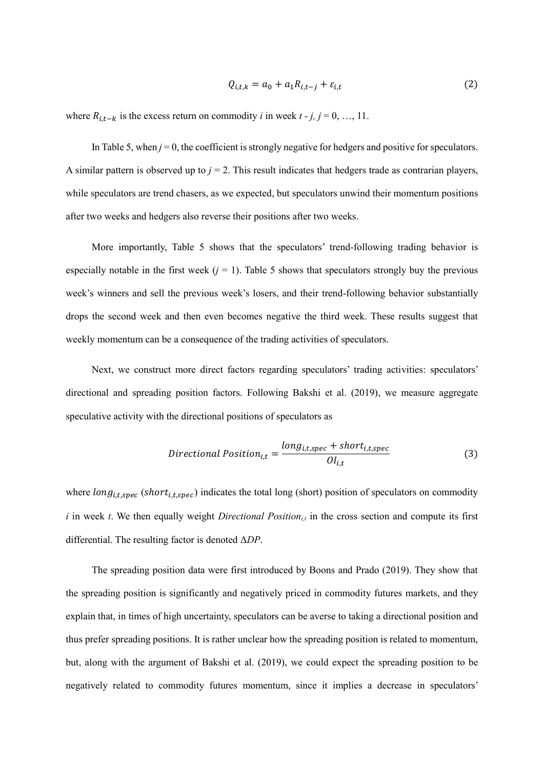$$
Q_{i,t,k} = a_0 + a_1 R_{i,t-j} + \varepsilon_{i,t}
$$
\n<sup>(2)</sup>

where  $R_{i,t-k}$  is the excess return on commodity *i* in week  $t - j$ ,  $j = 0, ..., 11$ .

In Table 5, when  $j = 0$ , the coefficient is strongly negative for hedgers and positive for speculators. A similar pattern is observed up to  $j = 2$ . This result indicates that hedgers trade as contrarian players, while speculators are trend chasers, as we expected, but speculators unwind their momentum positions after two weeks and hedgers also reverse their positions after two weeks.

More importantly, Table 5 shows that the speculators' trend-following trading behavior is especially notable in the first week  $(j = 1)$ . Table 5 shows that speculators strongly buy the previous week's winners and sell the previous week's losers, and their trend-following behavior substantially drops the second week and then even becomes negative the third week. These results suggest that weekly momentum can be a consequence of the trading activities of speculators.

Next, we construct more direct factors regarding speculators' trading activities: speculators' directional and spreading position factors. Following Bakshi et al. (2019), we measure aggregate speculative activity with the directional positions of speculators as

*Directional Position*<sub>i,t</sub> = 
$$
\frac{long_{i,t,spec} + short_{i,t,spec}}{Ol_{i,t}}
$$
 (3)

where  $long_{i,t,spec}$  (short<sub>i,t,spec</sub>) indicates the total long (short) position of speculators on commodity  $i$  in week  $t$ . We then equally weight *Directional Position*<sub>*it*</sub> in the cross section and compute its first differential. The resulting factor is denoted Δ*DP*.

The spreading position data were first introduced by Boons and Prado (2019). They show that the spreading position is significantly and negatively priced in commodity futures markets, and they explain that, in times of high uncertainty, speculators can be averse to taking a directional position and thus prefer spreading positions. It is rather unclear how the spreading position is related to momentum, but, along with the argument of Bakshi et al. (2019), we could expect the spreading position to be negatively related to commodity futures momentum, since it implies a decrease in speculators'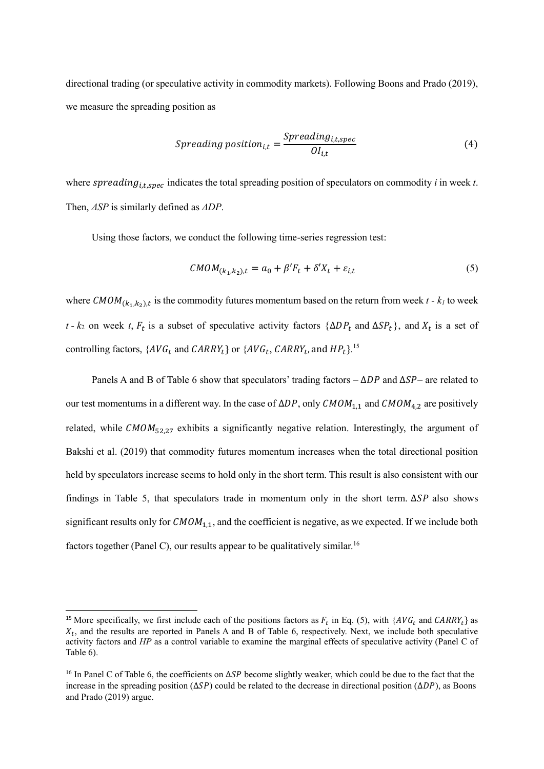directional trading (or speculative activity in commodity markets). Following Boons and Prado (2019), we measure the spreading position as

$$
Spreading position_{i,t} = \frac{Spreading_{i,t,spec}}{OI_{i,t}}
$$
\n(4)

where spreading<sub>it spec</sub> indicates the total spreading position of speculators on commodity *i* in week *t*. Then, *ΔSP* is similarly defined as *ΔDP*.

Using those factors, we conduct the following time-series regression test:

$$
CMOM_{(k_1,k_2),t} = a_0 + \beta' F_t + \delta' X_t + \varepsilon_{i,t}
$$
\n<sup>(5)</sup>

where  $\mathcal{CMOM}_{(k_1,k_2),t}$  is the commodity futures momentum based on the return from week  $t$  -  $k_l$  to week *t* -  $k_2$  on week *t*,  $F_t$  is a subset of speculative activity factors { $\Delta DP_t$  and  $\Delta SP_t$ }, and  $X_t$  is a set of controlling factors,  $\{AVG_t \text{ and } CARRY_t\}$  or  $\{AVG_t, CARRY_t\}$ , and  $HP_t\}$ .<sup>15</sup>

Panels A and B of Table 6 show that speculators' trading factors –  $\Delta DP$  and  $\Delta SP$ – are related to our test momentums in a different way. In the case of  $\Delta DP$ , only  $\textit{CMOM}_{1,1}$  and  $\textit{CMOM}_{4,2}$  are positively related, while  $CMOM_{52,27}$  exhibits a significantly negative relation. Interestingly, the argument of Bakshi et al. (2019) that commodity futures momentum increases when the total directional position held by speculators increase seems to hold only in the short term. This result is also consistent with our findings in Table 5, that speculators trade in momentum only in the short term.  $\Delta SP$  also shows significant results only for  $\mathcal{CMOM}_{1,1}$ , and the coefficient is negative, as we expected. If we include both factors together (Panel C), our results appear to be qualitatively similar.<sup>16</sup>

**.** 

<sup>&</sup>lt;sup>15</sup> More specifically, we first include each of the positions factors as  $F_t$  in Eq. (5), with { $AVG_t$  and  $CARRY_t$ } as  $X_t$ , and the results are reported in Panels A and B of Table 6, respectively. Next, we include both speculative activity factors and *HP* as a control variable to examine the marginal effects of speculative activity (Panel C of Table 6).

<sup>&</sup>lt;sup>16</sup> In Panel C of Table 6, the coefficients on  $\Delta SP$  become slightly weaker, which could be due to the fact that the increase in the spreading position ( $\Delta SP$ ) could be related to the decrease in directional position ( $\Delta DP$ ), as Boons and Prado (2019) argue.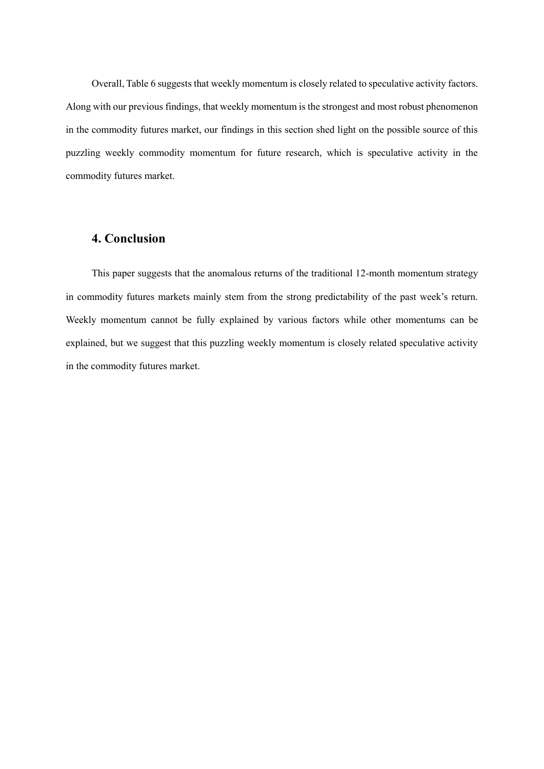Overall, Table 6 suggests that weekly momentum is closely related to speculative activity factors. Along with our previous findings, that weekly momentum is the strongest and most robust phenomenon in the commodity futures market, our findings in this section shed light on the possible source of this puzzling weekly commodity momentum for future research, which is speculative activity in the commodity futures market.

## **4. Conclusion**

This paper suggests that the anomalous returns of the traditional 12-month momentum strategy in commodity futures markets mainly stem from the strong predictability of the past week's return. Weekly momentum cannot be fully explained by various factors while other momentums can be explained, but we suggest that this puzzling weekly momentum is closely related speculative activity in the commodity futures market.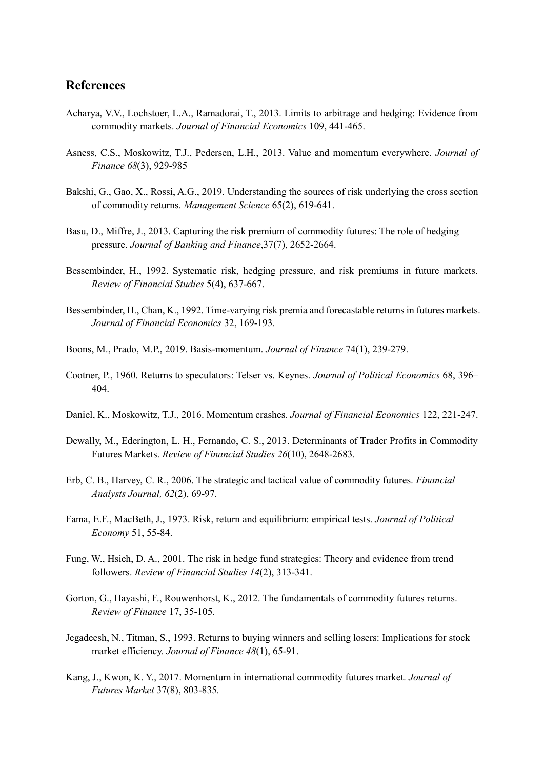## **References**

- Acharya, V.V., Lochstoer, L.A., Ramadorai, T., 2013. Limits to arbitrage and hedging: Evidence from commodity markets. *Journal of Financial Economics* 109, 441-465.
- Asness, C.S., Moskowitz, T.J., Pedersen, L.H., 2013. Value and momentum everywhere. *Journal of Finance 68*(3), 929-985
- Bakshi, G., Gao, X., Rossi, A.G., 2019. Understanding the sources of risk underlying the cross section of commodity returns. *Management Science* 65(2), 619-641.
- Basu, D., Miffre, J., 2013. Capturing the risk premium of commodity futures: The role of hedging pressure. *Journal of Banking and Finance*,37(7), 2652-2664.
- Bessembinder, H., 1992. Systematic risk, hedging pressure, and risk premiums in future markets. *Review of Financial Studies* 5(4), 637-667.
- Bessembinder, H., Chan, K., 1992. Time-varying risk premia and forecastable returns in futures markets. *Journal of Financial Economics* 32, 169-193.
- Boons, M., Prado, M.P., 2019. Basis-momentum. *Journal of Finance* 74(1), 239-279.
- Cootner, P., 1960. Returns to speculators: Telser vs. Keynes. *Journal of Political Economics* 68, 396– 404.
- Daniel, K., Moskowitz, T.J., 2016. Momentum crashes. *Journal of Financial Economics* 122, 221-247.
- Dewally, M., Ederington, L. H., Fernando, C. S., 2013. Determinants of Trader Profits in Commodity Futures Markets. *Review of Financial Studies 26*(10), 2648-2683.
- Erb, C. B., Harvey, C. R., 2006. The strategic and tactical value of commodity futures. *Financial Analysts Journal, 62*(2), 69-97.
- Fama, E.F., MacBeth, J., 1973. Risk, return and equilibrium: empirical tests. *Journal of Political Economy* 51, 55-84.
- Fung, W., Hsieh, D. A., 2001. The risk in hedge fund strategies: Theory and evidence from trend followers. *Review of Financial Studies 14*(2), 313-341.
- Gorton, G., Hayashi, F., Rouwenhorst, K., 2012. The fundamentals of commodity futures returns. *Review of Finance* 17, 35-105.
- Jegadeesh, N., Titman, S., 1993. Returns to buying winners and selling losers: Implications for stock market efficiency. *Journal of Finance 48*(1), 65-91.
- Kang, J., Kwon, K. Y., 2017. Momentum in international commodity futures market. *Journal of Futures Market* 37(8), 803-835*.*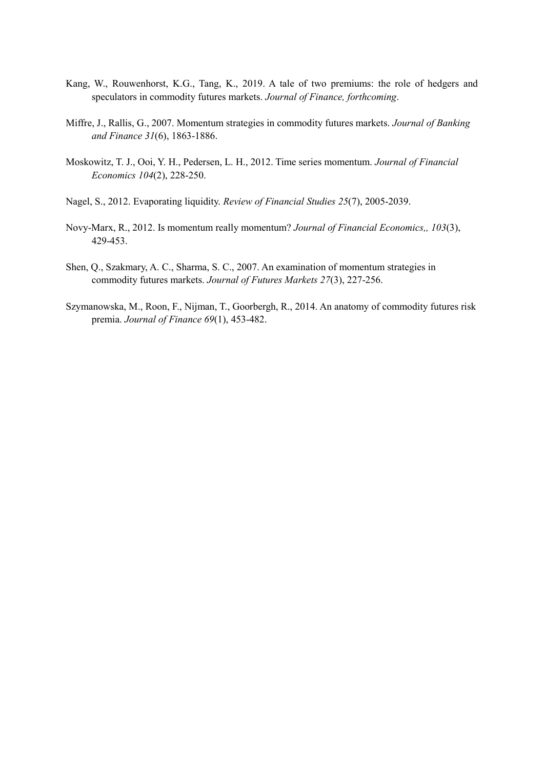- Kang, W., Rouwenhorst, K.G., Tang, K., 2019. A tale of two premiums: the role of hedgers and speculators in commodity futures markets. *Journal of Finance, forthcoming*.
- Miffre, J., Rallis, G., 2007. Momentum strategies in commodity futures markets. *Journal of Banking and Finance 31*(6), 1863-1886.
- Moskowitz, T. J., Ooi, Y. H., Pedersen, L. H., 2012. Time series momentum. *Journal of Financial Economics 104*(2), 228-250.
- Nagel, S., 2012. Evaporating liquidity. *Review of Financial Studies 25*(7), 2005-2039.
- Novy-Marx, R., 2012. Is momentum really momentum? *Journal of Financial Economics,, 103*(3), 429-453.
- Shen, Q., Szakmary, A. C., Sharma, S. C., 2007. An examination of momentum strategies in commodity futures markets. *Journal of Futures Markets 27*(3), 227-256.
- Szymanowska, M., Roon, F., Nijman, T., Goorbergh, R., 2014. An anatomy of commodity futures risk premia. *Journal of Finance 69*(1), 453-482.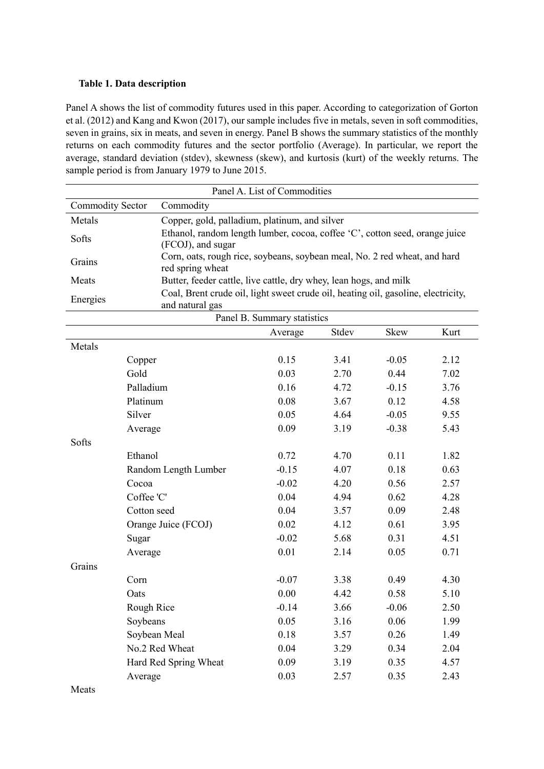#### **Table 1. Data description**

Panel A shows the list of commodity futures used in this paper. According to categorization of Gorton et al. (2012) and Kang and Kwon (2017), our sample includes five in metals, seven in soft commodities, seven in grains, six in meats, and seven in energy. Panel B shows the summary statistics of the monthly returns on each commodity futures and the sector portfolio (Average). In particular, we report the average, standard deviation (stdev), skewness (skew), and kurtosis (kurt) of the weekly returns. The sample period is from January 1979 to June 2015.

| Panel A. List of Commodities |                                                                                                      |                                                                             |       |         |      |  |
|------------------------------|------------------------------------------------------------------------------------------------------|-----------------------------------------------------------------------------|-------|---------|------|--|
| <b>Commodity Sector</b>      | Commodity                                                                                            |                                                                             |       |         |      |  |
| Metals                       | Copper, gold, palladium, platinum, and silver                                                        |                                                                             |       |         |      |  |
| Softs                        | (FCOJ), and sugar                                                                                    | Ethanol, random length lumber, cocoa, coffee 'C', cotton seed, orange juice |       |         |      |  |
| Grains                       | Corn, oats, rough rice, soybeans, soybean meal, No. 2 red wheat, and hard<br>red spring wheat        |                                                                             |       |         |      |  |
| Meats                        | Butter, feeder cattle, live cattle, dry whey, lean hogs, and milk                                    |                                                                             |       |         |      |  |
| Energies                     | Coal, Brent crude oil, light sweet crude oil, heating oil, gasoline, electricity,<br>and natural gas |                                                                             |       |         |      |  |
|                              |                                                                                                      | Panel B. Summary statistics                                                 |       |         |      |  |
|                              |                                                                                                      | Average                                                                     | Stdev | Skew    | Kurt |  |
| Metals                       |                                                                                                      |                                                                             |       |         |      |  |
|                              | Copper                                                                                               | 0.15                                                                        | 3.41  | $-0.05$ | 2.12 |  |
|                              | Gold                                                                                                 | 0.03                                                                        | 2.70  | 0.44    | 7.02 |  |
|                              | Palladium                                                                                            | 0.16                                                                        | 4.72  | $-0.15$ | 3.76 |  |
|                              | Platinum                                                                                             | 0.08                                                                        | 3.67  | 0.12    | 4.58 |  |
|                              | Silver                                                                                               | 0.05                                                                        | 4.64  | $-0.05$ | 9.55 |  |
|                              | Average                                                                                              | 0.09                                                                        | 3.19  | $-0.38$ | 5.43 |  |
| Softs                        |                                                                                                      |                                                                             |       |         |      |  |
|                              | Ethanol                                                                                              | 0.72                                                                        | 4.70  | 0.11    | 1.82 |  |
|                              | Random Length Lumber                                                                                 | $-0.15$                                                                     | 4.07  | 0.18    | 0.63 |  |
|                              | Cocoa                                                                                                | $-0.02$                                                                     | 4.20  | 0.56    | 2.57 |  |
|                              | Coffee 'C'                                                                                           | 0.04                                                                        | 4.94  | 0.62    | 4.28 |  |
|                              | Cotton seed                                                                                          | 0.04                                                                        | 3.57  | 0.09    | 2.48 |  |
|                              | Orange Juice (FCOJ)                                                                                  | 0.02                                                                        | 4.12  | 0.61    | 3.95 |  |
|                              | Sugar                                                                                                | $-0.02$                                                                     | 5.68  | 0.31    | 4.51 |  |
|                              | Average                                                                                              | 0.01                                                                        | 2.14  | 0.05    | 0.71 |  |
| Grains                       |                                                                                                      |                                                                             |       |         |      |  |
|                              | Corn                                                                                                 | $-0.07$                                                                     | 3.38  | 0.49    | 4.30 |  |
|                              | Oats                                                                                                 | 0.00                                                                        | 4.42  | 0.58    | 5.10 |  |
|                              | Rough Rice                                                                                           | $-0.14$                                                                     | 3.66  | $-0.06$ | 2.50 |  |
|                              | Soybeans                                                                                             | 0.05                                                                        | 3.16  | 0.06    | 1.99 |  |
|                              | Soybean Meal                                                                                         | 0.18                                                                        | 3.57  | 0.26    | 1.49 |  |
|                              | No.2 Red Wheat                                                                                       | 0.04                                                                        | 3.29  | 0.34    | 2.04 |  |
|                              | Hard Red Spring Wheat                                                                                | 0.09                                                                        | 3.19  | 0.35    | 4.57 |  |
|                              | Average                                                                                              | 0.03                                                                        | 2.57  | 0.35    | 2.43 |  |
| Meats                        |                                                                                                      |                                                                             |       |         |      |  |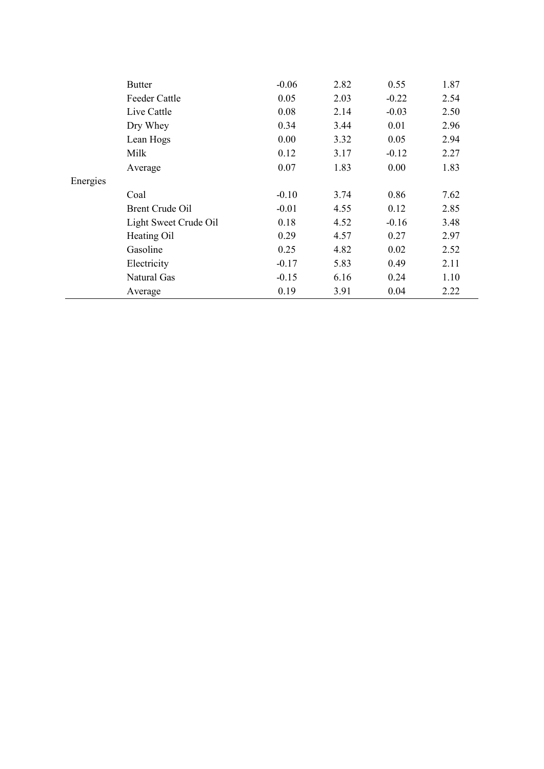|          | <b>Butter</b>         | $-0.06$ | 2.82 | 0.55    | 1.87 |
|----------|-----------------------|---------|------|---------|------|
|          | <b>Feeder Cattle</b>  | 0.05    | 2.03 | $-0.22$ | 2.54 |
|          | Live Cattle           | 0.08    | 2.14 | $-0.03$ | 2.50 |
|          | Dry Whey              | 0.34    | 3.44 | 0.01    | 2.96 |
|          | Lean Hogs             | 0.00    | 3.32 | 0.05    | 2.94 |
|          | Milk                  | 0.12    | 3.17 | $-0.12$ | 2.27 |
|          | Average               | 0.07    | 1.83 | 0.00    | 1.83 |
| Energies |                       |         |      |         |      |
|          | Coal                  | $-0.10$ | 3.74 | 0.86    | 7.62 |
|          | Brent Crude Oil       | $-0.01$ | 4.55 | 0.12    | 2.85 |
|          | Light Sweet Crude Oil | 0.18    | 4.52 | $-0.16$ | 3.48 |
|          | Heating Oil           | 0.29    | 4.57 | 0.27    | 2.97 |
|          | Gasoline              | 0.25    | 4.82 | 0.02    | 2.52 |
|          | Electricity           | $-0.17$ | 5.83 | 0.49    | 2.11 |
|          | Natural Gas           | $-0.15$ | 6.16 | 0.24    | 1.10 |
|          | Average               | 0.19    | 3.91 | 0.04    | 2.22 |
|          |                       |         |      |         |      |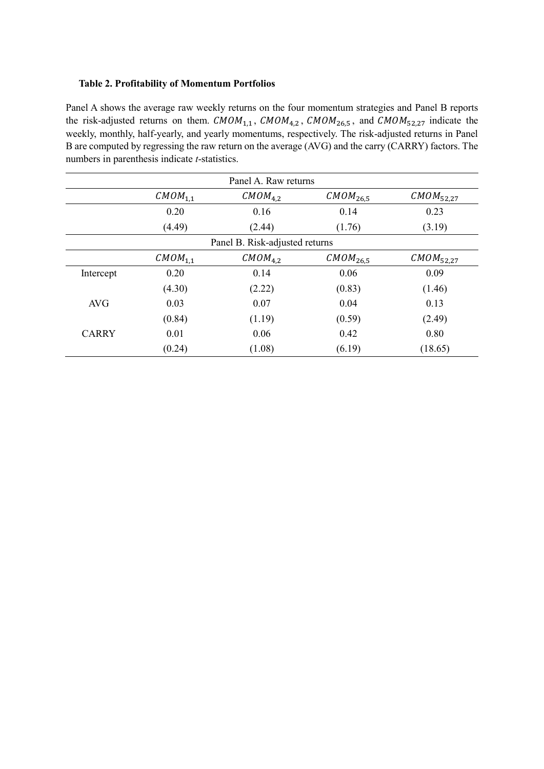#### **Table 2. Profitability of Momentum Portfolios**

Panel A shows the average raw weekly returns on the four momentum strategies and Panel B reports the risk-adjusted returns on them.  $CMOM_{1,1}$ ,  $CMOM_{4,2}$ ,  $CMOM_{26,5}$ , and  $CMOM_{52,27}$  indicate the weekly, monthly, half-yearly, and yearly momentums, respectively. The risk-adjusted returns in Panel B are computed by regressing the raw return on the average (AVG) and the carry (CARRY) factors. The numbers in parenthesis indicate *t*-statistics.

| Panel A. Raw returns |                     |                                |                      |                       |  |
|----------------------|---------------------|--------------------------------|----------------------|-----------------------|--|
|                      | CMOM <sub>1,1</sub> | CMOM <sub>4.2</sub>            | CMOM <sub>26,5</sub> | $CMOM_{52,27}$        |  |
|                      | 0.20                | 0.16                           | 0.14                 | 0.23                  |  |
|                      | (4.49)              | (2.44)                         | (1.76)               | (3.19)                |  |
|                      |                     | Panel B. Risk-adjusted returns |                      |                       |  |
|                      | CMOM <sub>1.1</sub> | CMOM <sub>4.2</sub>            | CMOM <sub>26.5</sub> | CMOM <sub>52,27</sub> |  |
| Intercept            | 0.20                | 0.14                           | 0.06                 | 0.09                  |  |
|                      | (4.30)              | (2.22)                         | (0.83)               | (1.46)                |  |
| <b>AVG</b>           | 0.03                | 0.07                           | 0.04                 | 0.13                  |  |
|                      | (0.84)              | (1.19)                         | (0.59)               | (2.49)                |  |
| <b>CARRY</b>         | 0.01                | 0.06                           | 0.42                 | 0.80                  |  |
|                      | (0.24)              | (1.08)                         | (6.19)               | (18.65)               |  |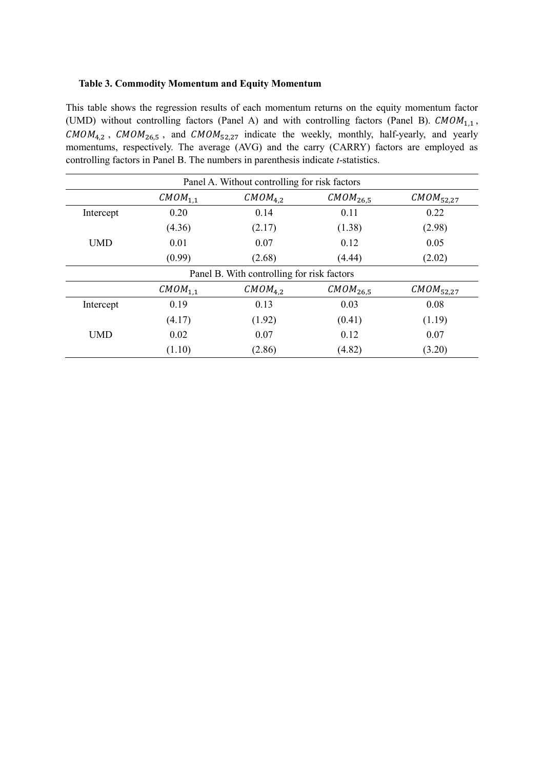#### **Table 3. Commodity Momentum and Equity Momentum**

This table shows the regression results of each momentum returns on the equity momentum factor (UMD) without controlling factors (Panel A) and with controlling factors (Panel B).  $\mathcal{CMOM}_{1,1}$ ,  $CMOM_{4,2}$ ,  $CMOM_{26,5}$ , and  $CMOM_{52,27}$  indicate the weekly, monthly, half-yearly, and yearly momentums, respectively. The average (AVG) and the carry (CARRY) factors are employed as controlling factors in Panel B. The numbers in parenthesis indicate *t*-statistics.

| Panel A. Without controlling for risk factors                                        |                                                                                      |        |        |        |  |  |
|--------------------------------------------------------------------------------------|--------------------------------------------------------------------------------------|--------|--------|--------|--|--|
| CMOM <sub>4,2</sub><br>CMOM <sub>1.1</sub><br>CMOM <sub>26,5</sub><br>$CMOM_{52,27}$ |                                                                                      |        |        |        |  |  |
| Intercept                                                                            | 0.20                                                                                 | 0.14   | 0.11   | 0.22   |  |  |
|                                                                                      | (4.36)                                                                               | (2.17) | (1.38) | (2.98) |  |  |
| <b>UMD</b>                                                                           | 0.01                                                                                 | 0.07   | 0.12   | 0.05   |  |  |
|                                                                                      | (0.99)                                                                               | (2.68) | (4.44) | (2.02) |  |  |
| Panel B. With controlling for risk factors                                           |                                                                                      |        |        |        |  |  |
|                                                                                      | CMOM <sub>1,1</sub><br>CMOM <sub>4,2</sub><br>CMOM <sub>26.5</sub><br>$CMOM_{52,27}$ |        |        |        |  |  |
| Intercept                                                                            | 0.19                                                                                 | 0.13   | 0.03   | 0.08   |  |  |
|                                                                                      | (4.17)                                                                               | (1.92) | (0.41) | (1.19) |  |  |
| <b>UMD</b>                                                                           | 0.02                                                                                 | 0.07   | 0.12   | 0.07   |  |  |
|                                                                                      | (1.10)                                                                               | (2.86) | (4.82) | (3.20) |  |  |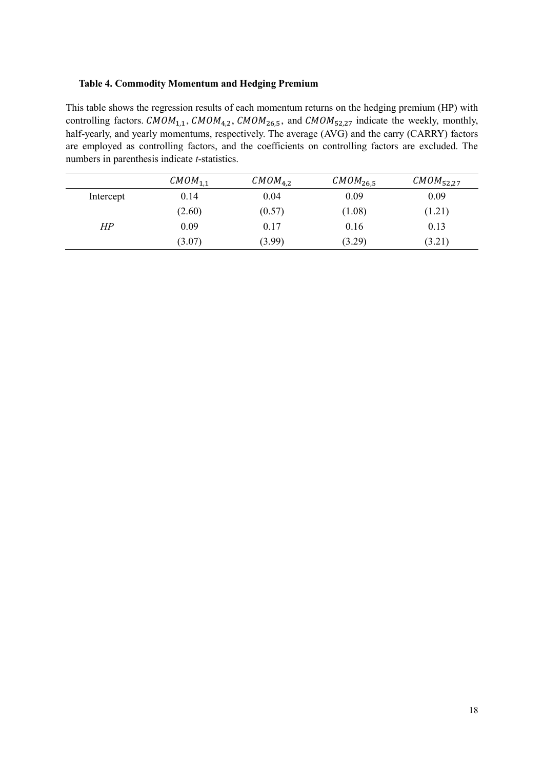#### **Table 4. Commodity Momentum and Hedging Premium**

This table shows the regression results of each momentum returns on the hedging premium (HP) with controlling factors. CMOM<sub>1,1</sub>, CMOM<sub>4,2</sub>, CMOM<sub>26,5</sub>, and CMOM<sub>52,27</sub> indicate the weekly, monthly, half-yearly, and yearly momentums, respectively. The average (AVG) and the carry (CARRY) factors are employed as controlling factors, and the coefficients on controlling factors are excluded. The numbers in parenthesis indicate *t*-statistics.

|           | CMOM <sub>1,1</sub> | CMOM <sub>4,2</sub> | CMOM <sub>26,5</sub> | $CMOM_{52,27}$ |
|-----------|---------------------|---------------------|----------------------|----------------|
| Intercept | 0.14                | 0.04                | 0.09                 | 0.09           |
|           | (2.60)              | (0.57)              | (1.08)               | (1.21)         |
| HР        | 0.09                | 0.17                | 0.16                 | 0.13           |
|           | (3.07)              | (3.99)              | (3.29)               | (3.21)         |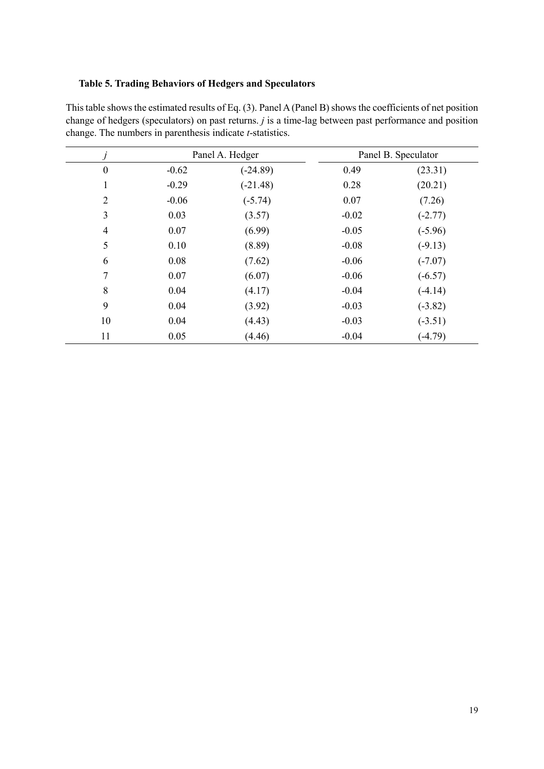## **Table 5. Trading Behaviors of Hedgers and Speculators**

| $\mathcal{I}$    | Panel A. Hedger |            |         | Panel B. Speculator |
|------------------|-----------------|------------|---------|---------------------|
| $\boldsymbol{0}$ | $-0.62$         | $(-24.89)$ | 0.49    | (23.31)             |
| 1                | $-0.29$         | $(-21.48)$ | 0.28    | (20.21)             |
| $\overline{2}$   | $-0.06$         | $(-5.74)$  | 0.07    | (7.26)              |
| 3                | 0.03            | (3.57)     | $-0.02$ | $(-2.77)$           |
| $\overline{4}$   | 0.07            | (6.99)     | $-0.05$ | $(-5.96)$           |
| 5                | 0.10            | (8.89)     | $-0.08$ | $(-9.13)$           |
| 6                | 0.08            | (7.62)     | $-0.06$ | $(-7.07)$           |
| 7                | 0.07            | (6.07)     | $-0.06$ | $(-6.57)$           |
| 8                | 0.04            | (4.17)     | $-0.04$ | $(-4.14)$           |
| 9                | 0.04            | (3.92)     | $-0.03$ | $(-3.82)$           |
| 10               | 0.04            | (4.43)     | $-0.03$ | $(-3.51)$           |
| 11               | 0.05            | (4.46)     | $-0.04$ | $(-4.79)$           |

This table shows the estimated results of Eq. (3). Panel A (Panel B) shows the coefficients of net position change of hedgers (speculators) on past returns. *j* is a time-lag between past performance and position change. The numbers in parenthesis indicate *t*-statistics.